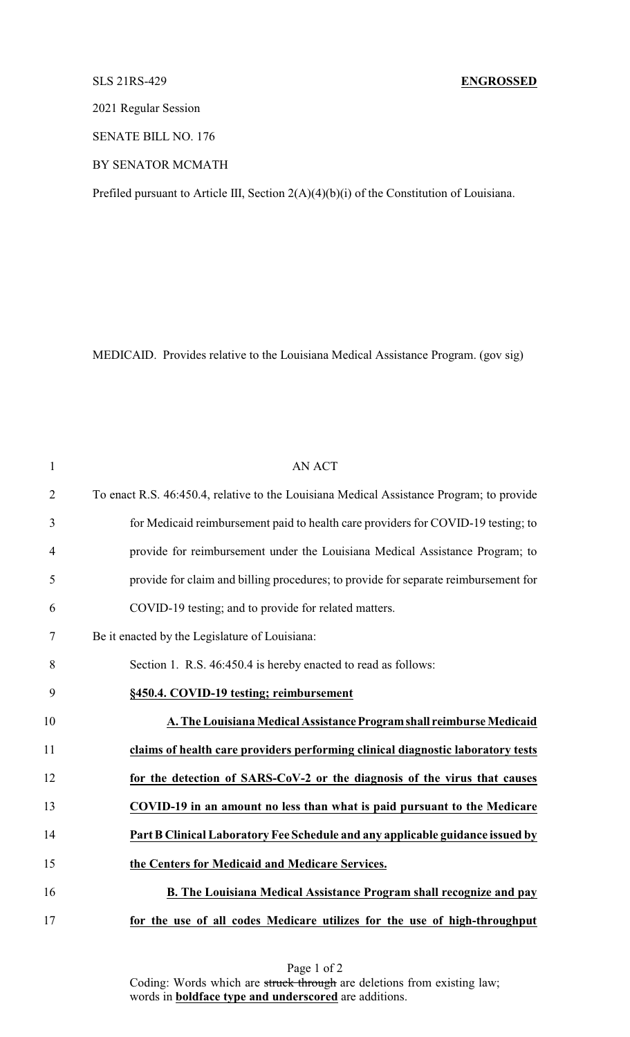## SLS 21RS-429 **ENGROSSED**

2021 Regular Session

SENATE BILL NO. 176

BY SENATOR MCMATH

Prefiled pursuant to Article III, Section 2(A)(4)(b)(i) of the Constitution of Louisiana.

MEDICAID. Provides relative to the Louisiana Medical Assistance Program. (gov sig)

| $\mathbf{1}$   | <b>AN ACT</b>                                                                            |
|----------------|------------------------------------------------------------------------------------------|
| $\overline{2}$ | To enact R.S. 46:450.4, relative to the Louisiana Medical Assistance Program; to provide |
| 3              | for Medicaid reimbursement paid to health care providers for COVID-19 testing; to        |
| $\overline{4}$ | provide for reimbursement under the Louisiana Medical Assistance Program; to             |
| 5              | provide for claim and billing procedures; to provide for separate reimbursement for      |
| 6              | COVID-19 testing; and to provide for related matters.                                    |
| 7              | Be it enacted by the Legislature of Louisiana:                                           |
| 8              | Section 1. R.S. 46:450.4 is hereby enacted to read as follows:                           |
| 9              | §450.4. COVID-19 testing; reimbursement                                                  |
| 10             | A. The Louisiana Medical Assistance Program shall reimburse Medicaid                     |
| 11             | claims of health care providers performing clinical diagnostic laboratory tests          |
| 12             | for the detection of SARS-CoV-2 or the diagnosis of the virus that causes                |
| 13             | COVID-19 in an amount no less than what is paid pursuant to the Medicare                 |
| 14             | Part B Clinical Laboratory Fee Schedule and any applicable guidance issued by            |
| 15             | the Centers for Medicaid and Medicare Services.                                          |
| 16             | <b>B. The Louisiana Medical Assistance Program shall recognize and pay</b>               |
| 17             | for the use of all codes Medicare utilizes for the use of high-throughput                |

Page 1 of 2 Coding: Words which are struck through are deletions from existing law; words in **boldface type and underscored** are additions.